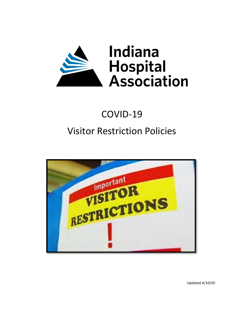

# COVID-19 Visitor Restriction Policies



Updated 4/10/20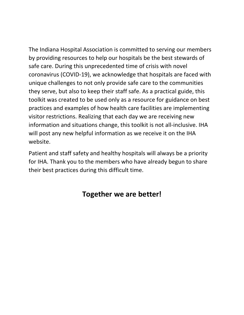The Indiana Hospital Association is committed to serving our members by providing resources to help our hospitals be the best stewards of safe care. During this unprecedented time of crisis with novel coronavirus (COVID-19), we acknowledge that hospitals are faced with unique challenges to not only provide safe care to the communities they serve, but also to keep their staff safe. As a practical guide, this toolkit was created to be used only as a resource for guidance on best practices and examples of how health care facilities are implementing visitor restrictions. Realizing that each day we are receiving new information and situations change, this toolkit is not all-inclusive. IHA will post any new helpful information as we receive it on the IHA website.

Patient and staff safety and healthy hospitals will always be a priority for IHA. Thank you to the members who have already begun to share their best practices during this difficult time.

## **Together we are better!**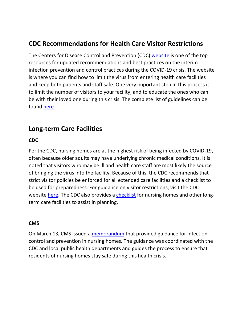## **CDC Recommendations for Health Care Visitor Restrictions**

The Centers for Disease Control and Prevention (CDC) [website](https://www.cdc.gov/coronavirus/2019-nCoV/index.html) is one of the top resources for updated recommendations and best practices on the interim infection prevention and control practices during the COVID-19 crisis. The website is where you can find how to limit the virus from entering health care facilities and keep both patients and staff safe. One very important step in this process is to limit the number of visitors to your facility, and to educate the ones who can be with their loved one during this crisis. The complete list of guidelines can be found [here.](https://www.cdc.gov/coronavirus/2019-ncov/infection-control/control-recommendations.html?CDC_AA_refVal=https%3A%2F%2Fwww.cdc.gov%2Fcoronavirus%2F2019-ncov%2Fhcp%2Finfection-control.html#manage_access)

## **Long-term Care Facilities**

#### **CDC**

Per the CDC, nursing homes are at the highest risk of being infected by COVID-19, often because older adults may have underlying chronic medical conditions. It is noted that visitors who may be ill and health care staff are most likely the source of bringing the virus into the facility. Because of this, the CDC recommends that strict visitor policies be enforced for all extended care facilities and a checklist to be used for preparedness. For guidance on visitor restrictions, visit the CDC website [here.](https://www.cdc.gov/coronavirus/2019-ncov/healthcare-facilities/prevent-spread-in-long-term-care-facilities.html) The CDC also provides a [checklist](https://www.ihaconnect.org/Resources/Public/Patient%20Safety/Resources%20for%20Visitation%20Toolkit/novel-coronavirus-2019-Nursing-Homes-Preparedness-Checklist_3_13.pdf) for nursing homes and other longterm care facilities to assist in planning.

#### **CMS**

On March 13, CMS issued a [memorandum](https://www.ihaconnect.org/Resources/Public/Patient%20Safety/Resources%20for%20Visitation%20Toolkit/3-13-2020-nursing-home-guidance-covid-19%20CMS.pdf) that provided guidance for infection control and prevention in nursing homes. The guidance was coordinated with the CDC and local public health departments and guides the process to ensure that residents of nursing homes stay safe during this health crisis.